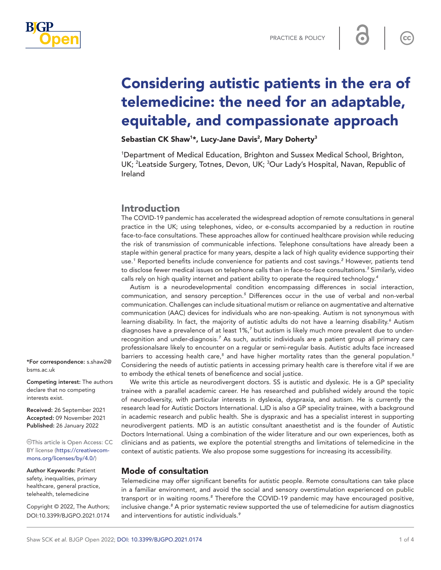

# Considering autistic patients in the era of telemedicine: the need for an adaptable, equitable, and compassionate approach

## Sebastian CK Shaw<sup>1</sup>\*, Lucy-Jane Davis<sup>2</sup>, Mary Doherty<sup>3</sup>

1 Department of Medical Education, Brighton and Sussex Medical School, Brighton, UK; <sup>2</sup>Leatside Surgery, Totnes, Devon, UK; <sup>3</sup>Our Lady's Hospital, Navan, Republic of Ireland

# **Introduction**

The COVID-19 pandemic has accelerated the widespread adoption of remote consultations in general practice in the UK; using telephones, video, or e-consults accompanied by a reduction in routine face-to-face consultations. These approaches allow for continued healthcare provision while reducing the risk of transmission of communicable infections. Telephone consultations have already been a staple within general practice for many years, despite a lack of high quality evidence supporting their use.*[1](#page-2-0)* Reported benefits include convenience for patients and cost savings.*[2](#page-3-0)* However, patients tend to disclose fewer medical issues on telephone calls than in face-to-face consultations.*[3](#page-3-1)* Similarly, video calls rely on high quality internet and patient ability to operate the required technology.*[4](#page-3-2)*

Autism is a neurodevelopmental condition encompassing differences in social interaction, communication, and sensory perception.*[5](#page-3-3)* Differences occur in the use of verbal and non-verbal communication. Challenges can include situational mutism or reliance on augmentative and alternative communication (AAC) devices for individuals who are non-speaking. Autism is not synonymous with learning disability. In fact, the majority of autistic adults do not have a learning disability.*[6](#page-3-4)* Autism diagnoses have a prevalence of at least 1%,*[7](#page-3-5)* but autism is likely much more prevalent due to under-recognition and under-diagnosis.<sup>[7](#page-3-5)</sup> As such, autistic individuals are a patient group all primary care professionalsare likely to encounter on a regular or semi-regular basis. Autistic adults face increased barriers to accessing health care,<sup>[5](#page-3-3)</sup> and have higher mortality rates than the general population.<sup>5</sup> Considering the needs of autistic patients in accessing primary health care is therefore vital if we are to embody the ethical tenets of beneficence and social justice.

We write this article as neurodivergent doctors. SS is autistic and dyslexic. He is a GP speciality trainee with a parallel academic career. He has researched and published widely around the topic of neurodiversity, with particular interests in dyslexia, dyspraxia, and autism. He is currently the research lead for Autistic Doctors International. LJD is also a GP speciality trainee, with a background in academic research and public health. She is dyspraxic and has a specialist interest in supporting neurodivergent patients. MD is an autistic consultant anaesthetist and is the founder of Autistic Doctors International. Using a combination of the wider literature and our own experiences, both as clinicians and as patients, we explore the potential strengths and limitations of telemedicine in the context of autistic patients. We also propose some suggestions for increasing its accessibility.

# Mode of consultation

Telemedicine may offer significant benefits for autistic people. Remote consultations can take place in a familiar environment, and avoid the social and sensory overstimulation experienced on public transport or in waiting rooms.*[8](#page-3-6)* Therefore the COVID-19 pandemic may have encouraged positive, inclusive change.*[8](#page-3-6)* A prior systematic review supported the use of telemedicine for autism diagnostics and interventions for autistic individuals.*[9](#page-3-7)*

\*For correspondence: [s.shaw2@](mailto:s.shaw2@bsms.ac.uk) [bsms.ac.uk](mailto:s.shaw2@bsms.ac.uk)

Competing interest: The authors declare that no competing interests exist.

Received: 26 September 2021 Accepted: 09 November 2021 Published: 26 January 2022

This article is Open Access: CC BY license [\(https://creativecom](https://creativecommons.org/licenses/by/4.0/)[mons.org/licenses/by/4.0/\)](https://creativecommons.org/licenses/by/4.0/)

Author Keywords: Patient safety, inequalities, primary healthcare, general practice, telehealth, telemedicine

Copyright © 2022, The Authors; DOI:10.3399/BJGPO.2021.0174  $\mathsf{cc}$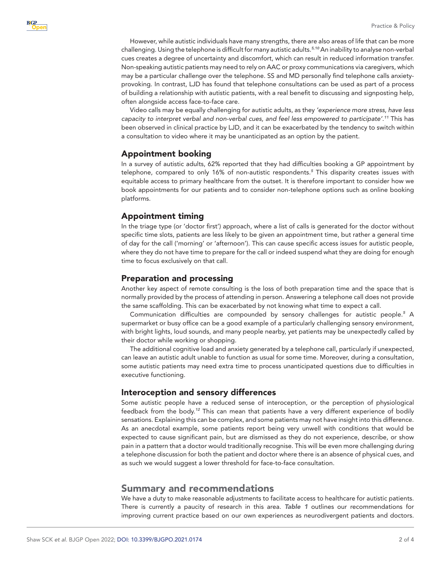However, while autistic individuals have many strengths, there are also areas of life that can be more challenging. Using the telephone is difficult for many autistic adults.*[5,10](#page-3-3)* An inability to analyse non-verbal cues creates a degree of uncertainty and discomfort, which can result in reduced information transfer. Non-speaking autistic patients may need to rely on AAC or proxy communications via caregivers, which may be a particular challenge over the telephone. SS and MD personally find telephone calls anxietyprovoking. In contrast, LJD has found that telephone consultations can be used as part of a process of building a relationship with autistic patients, with a real benefit to discussing and signposting help, often alongside access face-to-face care.

Video calls may be equally challenging for autistic adults, as they *'experience more stress, have less capacity to interpret verbal and non-verbal cues, and feel less empowered to participate'*. *[11](#page-3-8)* This has been observed in clinical practice by LJD, and it can be exacerbated by the tendency to switch within a consultation to video where it may be unanticipated as an option by the patient.

## Appointment booking

In a survey of autistic adults, 62% reported that they had difficulties booking a GP appointment by telephone, compared to only 16% of non-autistic respondents.*[5](#page-3-3)* This disparity creates issues with equitable access to primary healthcare from the outset. It is therefore important to consider how we book appointments for our patients and to consider non-telephone options such as online booking platforms.

#### Appointment timing

In the triage type (or 'doctor first') approach, where a list of calls is generated for the doctor without specific time slots, patients are less likely to be given an appointment time, but rather a general time of day for the call ('morning' or 'afternoon'). This can cause specific access issues for autistic people, where they do not have time to prepare for the call or indeed suspend what they are doing for enough time to focus exclusively on that call.

#### Preparation and processing

Another key aspect of remote consulting is the loss of both preparation time and the space that is normally provided by the process of attending in person. Answering a telephone call does not provide the same scaffolding. This can be exacerbated by not knowing what time to expect a call.

Communication difficulties are compounded by sensory challenges for autistic people.*[5](#page-3-3)* A supermarket or busy office can be a good example of a particularly challenging sensory environment, with bright lights, loud sounds, and many people nearby, yet patients may be unexpectedly called by their doctor while working or shopping.

The additional cognitive load and anxiety generated by a telephone call, particularly if unexpected, can leave an autistic adult unable to function as usual for some time. Moreover, during a consultation, some autistic patients may need extra time to process unanticipated questions due to difficulties in executive functioning.

#### Interoception and sensory differences

Some autistic people have a reduced sense of interoception, or the perception of physiological feedback from the body.*[12](#page-3-9)* This can mean that patients have a very different experience of bodily sensations. Explaining this can be complex, and some patients may not have insight into this difference. As an anecdotal example, some patients report being very unwell with conditions that would be expected to cause significant pain, but are dismissed as they do not experience, describe, or show pain in a pattern that a doctor would traditionally recognise. This will be even more challenging during a telephone discussion for both the patient and doctor where there is an absence of physical cues, and as such we would suggest a lower threshold for face-to-face consultation.

### Summary and recommendations

We have a duty to make reasonable adjustments to facilitate access to healthcare for autistic patients. There is currently a paucity of research in this area. *[Table 1](#page-2-1)* outlines our recommendations for improving current practice based on our own experiences as neurodivergent patients and doctors.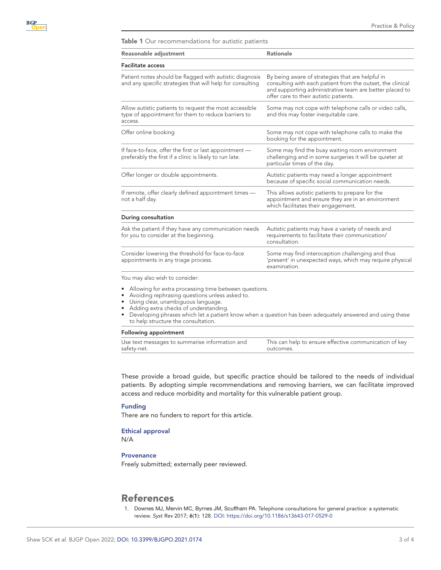<span id="page-2-1"></span>Table 1 Our recommendations for autistic patients

| <b>Rationale</b>                                                                                                                                                                                                    |
|---------------------------------------------------------------------------------------------------------------------------------------------------------------------------------------------------------------------|
|                                                                                                                                                                                                                     |
| By being aware of strategies that are helpful in<br>consulting with each patient from the outset, the clinical<br>and supporting administrative team are better placed to<br>offer care to their autistic patients. |
| Some may not cope with telephone calls or video calls,<br>and this may foster inequitable care.                                                                                                                     |
| Some may not cope with telephone calls to make the<br>booking for the appointment.                                                                                                                                  |
| Some may find the busy waiting room environment<br>challenging and in some surgeries it will be quieter at<br>particular times of the day.                                                                          |
| Autistic patients may need a longer appointment<br>because of specific social communication needs.                                                                                                                  |
| This allows autistic patients to prepare for the<br>appointment and ensure they are in an environment<br>which facilitates their engagement.                                                                        |
|                                                                                                                                                                                                                     |
| Autistic patients may have a variety of needs and<br>requirements to facilitate their communication/<br>consultation.                                                                                               |
| Some may find interoception challenging and thus<br>'present' in unexpected ways, which may require physical<br>examination.                                                                                        |
|                                                                                                                                                                                                                     |

You may also wish to consider:

- Allowing for extra processing time between questions.
- Avoiding rephrasing questions unless asked to.

• Using clear, unambiguous language.

- Adding extra checks of understanding.
- Developing phrases which let a patient know when a question has been adequately answered and using these to help structure the consultation.

#### Following appointment

| Use text messages to summarise information and | This can help to ensure effective communication of key |
|------------------------------------------------|--------------------------------------------------------|
| safety-net.                                    | outcomes.                                              |

These provide a broad guide, but specific practice should be tailored to the needs of individual patients. By adopting simple recommendations and removing barriers, we can facilitate improved access and reduce morbidity and mortality for this vulnerable patient group.

#### Funding

There are no funders to report for this article.

#### Ethical approval

N/A

#### **Provenance**

Freely submitted; externally peer reviewed.

### References

<span id="page-2-0"></span>1. Downes MJ, Mervin MC, Byrnes JM, Scuffham PA. Telephone consultations for general practice: a systematic review. *Syst Rev* 2017; 6(1): 128. DOI: <https://doi.org/10.1186/s13643-017-0529-0>